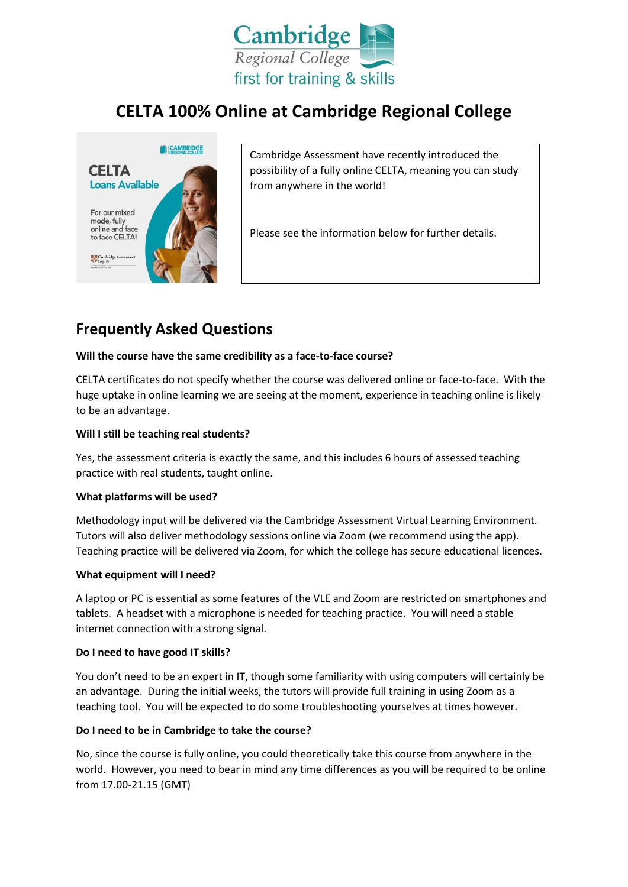

# **CELTA 100% Online at Cambridge Regional College**



Cambridge Assessment have recently introduced the possibility of a fully online CELTA, meaning you can study from anywhere in the world!

Please see the information below for further details.

## **Frequently Asked Questions**

## **Will the course have the same credibility as a face-to-face course?**

CELTA certificates do not specify whether the course was delivered online or face-to-face. With the huge uptake in online learning we are seeing at the moment, experience in teaching online is likely to be an advantage.

## **Will I still be teaching real students?**

Yes, the assessment criteria is exactly the same, and this includes 6 hours of assessed teaching practice with real students, taught online.

#### **What platforms will be used?**

Methodology input will be delivered via the Cambridge Assessment Virtual Learning Environment. Tutors will also deliver methodology sessions online via Zoom (we recommend using the app). Teaching practice will be delivered via Zoom, for which the college has secure educational licences.

#### **What equipment will I need?**

A laptop or PC is essential as some features of the VLE and Zoom are restricted on smartphones and tablets. A headset with a microphone is needed for teaching practice. You will need a stable internet connection with a strong signal.

#### **Do I need to have good IT skills?**

You don't need to be an expert in IT, though some familiarity with using computers will certainly be an advantage. During the initial weeks, the tutors will provide full training in using Zoom as a teaching tool. You will be expected to do some troubleshooting yourselves at times however.

## **Do I need to be in Cambridge to take the course?**

No, since the course is fully online, you could theoretically take this course from anywhere in the world. However, you need to bear in mind any time differences as you will be required to be online from 17.00-21.15 (GMT)